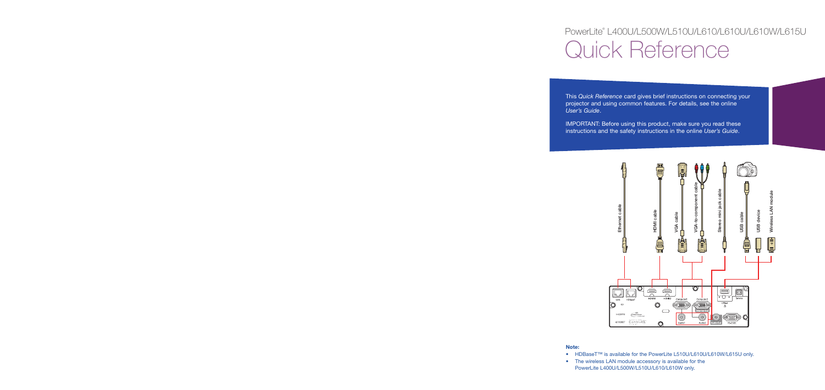# PowerLite® L400U/L500W/L510U/L610/L610U/L610W/L615U Quick Reference

This *Quick Reference* card gives brief instructions on connecting your projector and using common features. For details, see the online *User's Guide*.

IMPORTANT: Before using this product, make sure you read these instructions and the safety instructions in the online *User's Guide*.



#### **Note:**

- HDBaseT™ is available for the PowerLite L510U/L610U/L610W/L615U only.
- The wireless LAN module accessory is available for the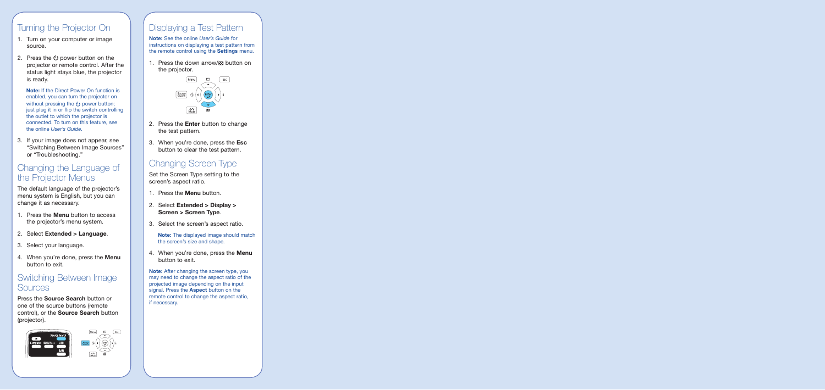### Turning the Projector On

- 1. Turn on your computer or image source.
- 2. Press the  $(b)$  power button on the projector or remote control. After the status light stays blue, the projector is ready.

**Note:** If the Direct Power On function is enabled, you can turn the projector on without pressing the (<sup>1</sup>) power button: just plug it in or flip the switch controlling the outlet to which the projector is connected. To turn on this feature, see the online *User's Guide*.

3. If your image does not appear, see "Switching Between Image Sources" or "Troubleshooting."

### Changing the Language of the Projector Menus

The default language of the projector's menu system is English, but you can change it as necessary.

- 1. Press the **Menu** button to access the projector's menu system.
- 2. Select **Extended > Language**.
- 3. Select your language.
- 4. When you're done, press the **Menu** button to exit.

### Switching Between Image **Sources**

Press the **Source Search** button or one of the source buttons (remote control), or the **Source Search** button (projector).



### Displaying a Test Pattern

**Note:** See the online *User's Guide* for instructions on displaying a test pattern from the remote control using the **Settings** menu.

1. Press the down arrow/ $\approx$  button on the projector.



- 2. Press the **Enter** button to change the test pattern.
- 3. When you're done, press the **Esc** button to clear the test pattern.

### Changing Screen Type

Set the Screen Type setting to the screen's aspect ratio.

- 1. Press the **Menu** button.
- 2. Select **Extended > Display > Screen > Screen Type**.
- 3. Select the screen's aspect ratio.

**Note:** The displayed image should match the screen's size and shape.

4. When you're done, press the **Menu** button to exit.

**Note:** After changing the screen type, you may need to change the aspect ratio of the projected image depending on the input signal. Press the **Aspect** button on the remote control to change the aspect ratio, if necessary.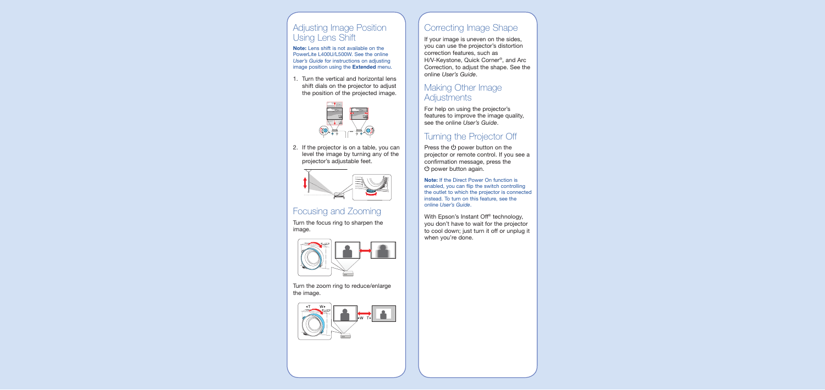### Adjusting Image Position Using Lens Shift

**Note:** Lens shift is not available on the PowerLite L400U/L500W. See the online *User's Guide* for instructions on adjusting image position using the **Extended** menu.

1. Turn the vertical and horizontal lens shift dials on the projector to adjust the position of the projected image.



2. If the projector is on a table, you can level the image by turning any of the projector's adjustable feet.



### Focusing and Zooming

Turn the focus ring to sharpen the image.



Turn the zoom ring to reduce/enlarge the image.



## Correcting Image Shape

If your image is uneven on the sides, you can use the projector's distortion correction features, such as H/V-Keystone, Quick Corner®, and Arc Correction, to adjust the shape. See the online *User's Guide*.

### Making Other Image **Adjustments**

For help on using the projector's features to improve the image quality, see the online *User's Guide*.

### Turning the Projector Off

Press the  $(b)$  power button on the projector or remote control. If you see a confirmation message, press the  $\bigcirc$  power button again.

**Note:** If the Direct Power On function is enabled, you can flip the switch controlling the outlet to which the projector is connected instead. To turn on this feature, see the online *User's Guide*.

With Epson's Instant Off® technology, you don't have to wait for the projector to cool down; just turn it off or unplug it when you're done.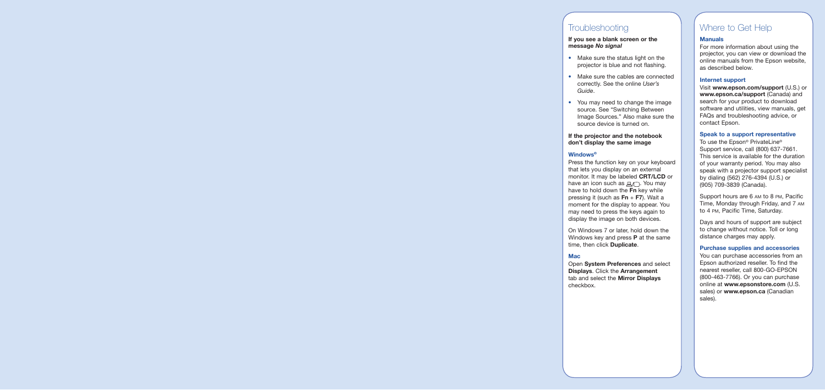### **Troubleshooting**

#### **If you see a blank screen or the message** *No signal*

- Make sure the status light on the projector is blue and not flashing.
- Make sure the cables are connected correctly. See the online *User's Guide*.
- You may need to change the image source. See "Switching Between Image Sources." Also make sure the source device is turned on.

#### **If the projector and the notebook don't display the same image**

#### **Windows®**

Press the function key on your keyboard that lets you display on an external monitor. It may be labeled **CRT/LCD** or have an icon such as  $\exists x \land \neg$ . You may have to hold down the **Fn** key while pressing it (such as **Fn** + **F7**). Wait a moment for the display to appear. You may need to press the keys again to display the image on both devices.

On Windows 7 or later, hold down the Windows key and press **P** at the same time, then click **Duplicate**.

### **Mac**

Open **System Preferences** and select **Displays**. Click the **Arrangement** tab and select the **Mirror Displays** checkbox.

### Where to Get Help

#### **Manuals**

For more information about using the projector, you can view or download the online manuals from the Epson website, as described below.

#### **Internet support**

Visit **www.epson.com/support** (U.S.) or **www.epson.ca/support** (Canada) and search for your product to download software and utilities, view manuals, get FAQs and troubleshooting advice, or contact Epson.

#### **Speak to a support representative**

To use the Epson® PrivateLine® Support service, call (800) 637-7661. This service is available for the duration of your warranty period. You may also speak with a projector support specialist by dialing (562) 276-4394 (U.S.) or (905) 709-3839 (Canada).

Support hours are 6 am to 8 pm, Pacific Time, Monday through Friday, and 7 am to 4 pm, Pacific Time, Saturday.

Days and hours of support are subject to change without notice. Toll or long distance charges may apply.

#### **Purchase supplies and accessories**

You can purchase accessories from an Epson authorized reseller. To find the nearest reseller, call 800-GO-EPSON (800-463-7766). Or you can purchase online at **www.epsonstore.com** (U.S. sales) or **www.epson.ca** (Canadian sales).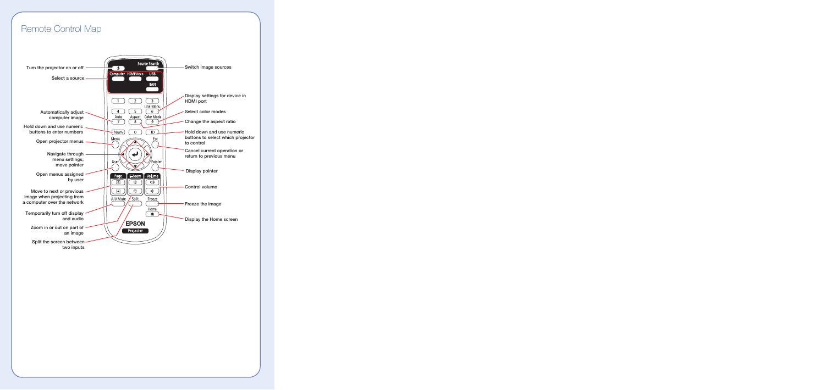### Remote Control Map